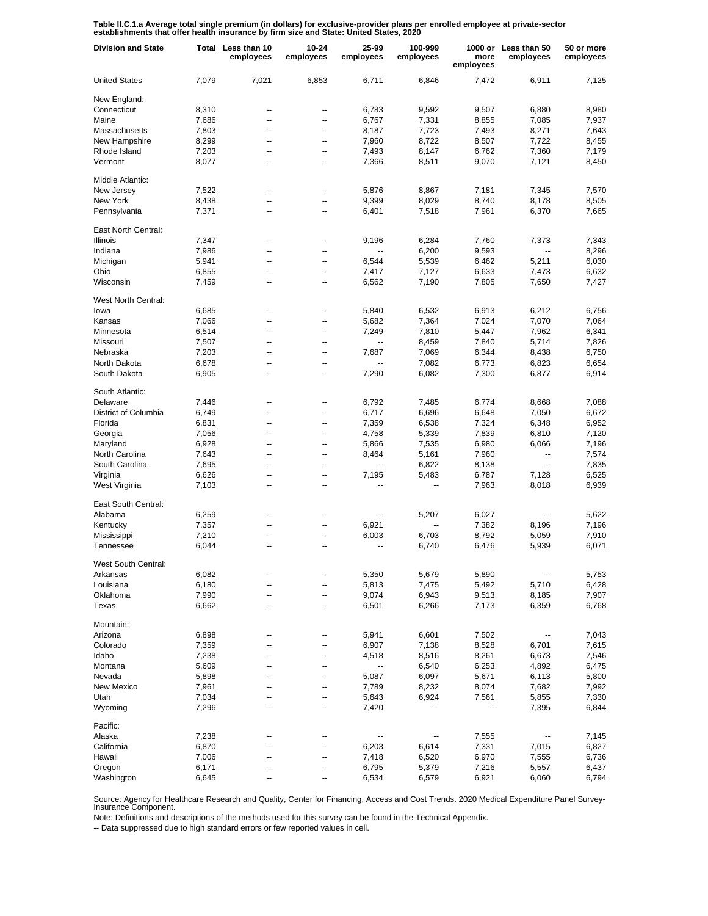Table II.C.1.a Average total single premium (in dollars) for exclusive-provider plans per enrolled employee at private-sector<br>establishments that offer health insurance by firm size and State: United States, 2020

| <b>Division and State</b> |       | Total Less than 10<br>employees | $10 - 24$<br>employees | 25-99<br>employees       | 100-999<br>employees | more<br>employees | 1000 or Less than 50<br>employees | 50 or more<br>employees |
|---------------------------|-------|---------------------------------|------------------------|--------------------------|----------------------|-------------------|-----------------------------------|-------------------------|
| <b>United States</b>      | 7,079 | 7,021                           | 6,853                  | 6.711                    | 6,846                | 7,472             | 6,911                             | 7,125                   |
| New England:              |       |                                 |                        |                          |                      |                   |                                   |                         |
| Connecticut               | 8,310 | --                              | --                     | 6,783                    | 9,592                | 9,507             | 6,880                             | 8,980                   |
| Maine                     | 7,686 | --                              | --                     | 6,767                    | 7,331                | 8,855             | 7,085                             | 7,937                   |
| Massachusetts             | 7,803 | --                              | --                     | 8,187                    | 7,723                | 7,493             | 8,271                             | 7,643                   |
| New Hampshire             | 8,299 | --                              | --                     | 7,960                    | 8,722                | 8,507             | 7,722                             | 8,455                   |
| Rhode Island              | 7,203 | --                              | --                     | 7,493                    | 8,147                | 6,762             | 7,360                             | 7,179                   |
| Vermont                   | 8,077 | --                              | --                     | 7,366                    | 8,511                | 9,070             | 7,121                             | 8,450                   |
| Middle Atlantic:          |       |                                 |                        |                          |                      |                   |                                   |                         |
| New Jersey                | 7,522 | --                              | --                     | 5,876                    | 8,867                | 7,181             | 7,345                             | 7,570                   |
| New York                  | 8,438 | --                              | --                     | 9,399                    | 8,029                | 8,740             | 8,178                             | 8,505                   |
| Pennsylvania              | 7,371 | --                              | --                     | 6,401                    | 7,518                | 7,961             | 6,370                             | 7,665                   |
| East North Central:       |       |                                 |                        |                          |                      |                   |                                   |                         |
| Illinois                  | 7,347 | ۰.                              | ⊷                      | 9,196                    | 6,284                | 7,760             | 7,373                             | 7,343                   |
| Indiana                   | 7,986 | ۰.                              | --                     | ۰.                       | 6,200                | 9,593             | $\overline{\phantom{a}}$          | 8,296                   |
| Michigan                  | 5,941 | --                              | --                     | 6,544                    | 5,539                | 6,462             | 5,211                             | 6,030                   |
| Ohio                      | 6,855 | ۰.                              | ⊷                      | 7,417                    | 7,127                | 6,633             | 7,473                             | 6,632                   |
| Wisconsin                 | 7,459 | --                              | --                     | 6,562                    | 7,190                | 7,805             | 7,650                             | 7,427                   |
| West North Central:       |       |                                 |                        |                          |                      |                   |                                   |                         |
| lowa                      | 6,685 | --                              | --                     | 5,840                    | 6,532                | 6,913             | 6,212                             | 6,756                   |
| Kansas                    | 7,066 | --                              | --                     | 5,682                    | 7,364                | 7,024             | 7,070                             | 7,064                   |
| Minnesota                 | 6,514 | --                              | --                     | 7,249                    | 7,810                | 5,447             | 7,962                             | 6,341                   |
| Missouri                  | 7,507 | --                              | --                     |                          | 8,459                | 7,840             | 5,714                             | 7,826                   |
| Nebraska                  | 7,203 | --                              | --                     | 7.687                    | 7,069                | 6,344             | 8,438                             | 6,750                   |
| North Dakota              | 6,678 | --                              | --                     |                          | 7,082                | 6,773             | 6,823                             | 6,654                   |
| South Dakota              | 6,905 | --                              | --                     | 7,290                    | 6,082                | 7,300             | 6,877                             | 6,914                   |
| South Atlantic:           |       |                                 |                        |                          |                      |                   |                                   |                         |
| Delaware                  | 7,446 | --                              | --                     | 6,792                    | 7,485                | 6,774             | 8,668                             | 7,088                   |
| District of Columbia      | 6,749 | --                              | --                     | 6,717                    | 6,696                | 6,648             | 7,050                             | 6,672                   |
| Florida                   | 6,831 | --                              | --                     | 7,359                    | 6,538                | 7,324             | 6,348                             | 6,952                   |
| Georgia                   | 7,056 | --                              | --                     | 4,758                    | 5,339                | 7,839             | 6,810                             | 7,120                   |
| Maryland                  | 6,928 | --                              | --                     | 5,866                    | 7,535                | 6,980             | 6,066                             | 7,196                   |
| North Carolina            | 7,643 | --                              | --                     | 8,464                    | 5,161                | 7,960             | --                                | 7,574                   |
| South Carolina            | 7,695 | --                              | --                     | $\overline{\phantom{a}}$ | 6,822                | 8,138             | $\overline{\phantom{a}}$          | 7,835                   |
| Virginia                  | 6,626 | --                              | --                     | 7,195                    | 5,483                | 6,787             | 7,128                             | 6,525                   |
| West Virginia             | 7,103 | --                              | --                     |                          | --                   | 7,963             | 8,018                             | 6,939                   |
| East South Central:       |       |                                 |                        |                          |                      |                   |                                   |                         |
| Alabama                   | 6,259 | --                              | --                     |                          | 5,207                | 6,027             |                                   | 5,622                   |
| Kentucky                  | 7,357 | Ξ.                              | --                     | 6,921                    |                      | 7,382             | 8,196                             | 7,196                   |
| Mississippi               | 7,210 | --                              | --                     | 6,003                    | 6,703                | 8,792             | 5,059                             | 7,910                   |
| Tennessee                 | 6,044 | Ξ.                              | --                     | --                       | 6,740                | 6,476             | 5,939                             | 6,071                   |
| West South Central:       |       |                                 |                        |                          |                      |                   |                                   |                         |
| Arkansas                  | 6,082 |                                 |                        | 5,350                    | 5,679                | 5,890             |                                   | 5,753                   |
| Louisiana                 | 6,180 | --                              | --                     | 5,813                    | 7,475                | 5,492             | 5,710                             | 6,428                   |
| Oklahoma                  | 7,990 |                                 | --                     | 9,074                    | 6,943                | 9,513             | 8,185                             | 7,907                   |
| Texas                     | 6,662 | --                              | --                     | 6,501                    | 6,266                | 7,173             | 6,359                             | 6,768                   |
| Mountain:                 |       |                                 |                        |                          |                      |                   |                                   |                         |
| Arizona                   | 6,898 | ۰.                              | --                     | 5,941                    | 6,601                | 7,502             |                                   | 7,043                   |
| Colorado                  | 7,359 | --                              | --                     | 6,907                    | 7,138                | 8,528             | 6,701                             | 7,615                   |
| Idaho                     | 7,238 | --                              | --                     | 4,518                    | 8,516                | 8,261             | 6,673                             | 7,546                   |
| Montana                   | 5,609 | --                              | --                     | --                       | 6,540                | 6,253             | 4,892                             | 6,475                   |
| Nevada                    | 5,898 | --                              | --                     | 5,087                    | 6,097                | 5,671             | 6,113                             | 5,800                   |
| New Mexico                | 7,961 | --                              | --                     | 7,789                    | 8,232                | 8,074             | 7,682                             | 7,992                   |
| Utah                      | 7,034 | --                              | --                     | 5,643                    | 6,924                | 7,561             | 5,855                             | 7,330                   |
| Wyoming                   | 7,296 | --                              | --                     | 7,420                    |                      |                   | 7,395                             | 6,844                   |
| Pacific:                  |       |                                 |                        |                          |                      |                   |                                   |                         |
| Alaska                    | 7,238 | --                              |                        |                          |                      | 7,555             |                                   | 7,145                   |
| California                | 6,870 |                                 |                        | 6,203                    | 6,614                | 7,331             | 7,015                             | 6,827                   |
| Hawaii                    | 7,006 | --                              | --                     | 7,418                    | 6,520                | 6,970             | 7,555                             | 6,736                   |
| Oregon                    | 6,171 |                                 | --                     | 6,795                    | 5,379                | 7,216             | 5,557                             | 6,437                   |
| Washington                | 6,645 | ۰.                              | --                     | 6,534                    | 6,579                | 6,921             | 6,060                             | 6,794                   |

Source: Agency for Healthcare Research and Quality, Center for Financing, Access and Cost Trends. 2020 Medical Expenditure Panel Survey-Insurance Component.

Note: Definitions and descriptions of the methods used for this survey can be found in the Technical Appendix.

-- Data suppressed due to high standard errors or few reported values in cell.